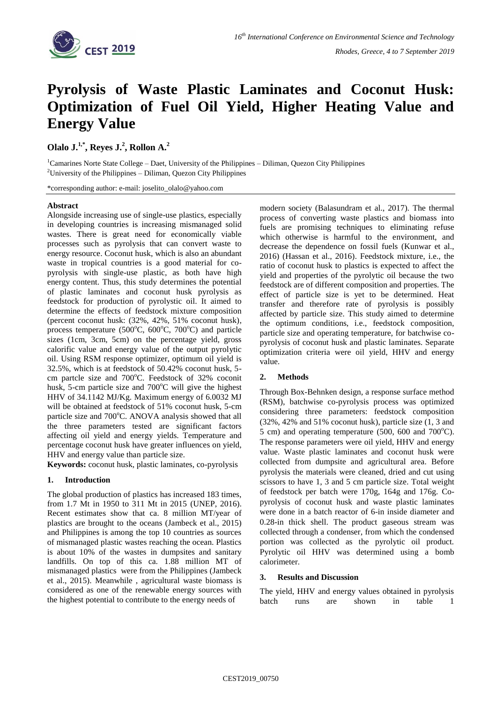

# **Pyrolysis of Waste Plastic Laminates and Coconut Husk: Optimization of Fuel Oil Yield, Higher Heating Value and Energy Value**

## **Olalo J. 1,\* , Reyes J.<sup>2</sup> , Rollon A. 2**

<sup>1</sup>Camarines Norte State College – Daet, University of the Philippines – Diliman, Quezon City Philippines <sup>2</sup>University of the Philippines – Diliman, Ouezon City Philippines

\*corresponding author: e-mail: joselito\_olalo@yahoo.com

## **Abstract**

Alongside increasing use of single-use plastics, especially in developing countries is increasing mismanaged solid wastes. There is great need for economically viable processes such as pyrolysis that can convert waste to energy resource. Coconut husk, which is also an abundant waste in tropical countries is a good material for copyrolysis with single-use plastic, as both have high energy content. Thus, this study determines the potential of plastic laminates and coconut husk pyrolysis as feedstock for production of pyrolystic oil. It aimed to determine the effects of feedstock mixture composition (percent coconut husk: (32%, 42%, 51% coconut husk), process temperature (500 $^{\circ}$ C, 600 $^{\circ}$ C, 700 $^{\circ}$ C) and particle sizes (1cm, 3cm, 5cm) on the percentage yield, gross calorific value and energy value of the output pyrolytic oil. Using RSM response optimizer, optimum oil yield is 32.5%, which is at feedstock of 50.42% coconut husk, 5 cm partcle size and  $700^{\circ}$ C. Feedstock of 32% coconit husk, 5-cm particle size and  $700^{\circ}$ C will give the highest HHV of 34.1142 MJ/Kg. Maximum energy of 6.0032 MJ will be obtained at feedstock of 51% coconut husk, 5-cm particle size and 700°C. ANOVA analysis showed that all the three parameters tested are significant factors affecting oil yield and energy yields. Temperature and percentage coconut husk have greater influences on yield, HHV and energy value than particle size.

**Keywords:** coconut husk, plastic laminates, co-pyrolysis

## **1. Introduction**

The global production of plastics has increased 183 times, from 1.7 Mt in 1950 to 311 Mt in 2015 (UNEP, 2016). Recent estimates show that ca. 8 million MT/year of plastics are brought to the oceans (Jambeck et al., 2015) and Philippines is among the top 10 countries as sources of mismanaged plastic wastes reaching the ocean. Plastics is about 10% of the wastes in dumpsites and sanitary landfills. On top of this ca. 1.88 million MT of mismanaged plastics were from the Philippines (Jambeck et al., 2015). Meanwhile , agricultural waste biomass is considered as one of the renewable energy sources with the highest potential to contribute to the energy needs of

modern society (Balasundram et al., 2017). The thermal process of converting waste plastics and biomass into fuels are promising techniques to eliminating refuse which otherwise is harmful to the environment, and decrease the dependence on fossil fuels (Kunwar et al., 2016) (Hassan et al., 2016). Feedstock mixture, i.e., the ratio of coconut husk to plastics is expected to affect the yield and properties of the pyrolytic oil because the two feedstock are of different composition and properties. The effect of particle size is yet to be determined. Heat transfer and therefore rate of pyrolysis is possibly affected by particle size. This study aimed to determine the optimum conditions, i.e., feedstock composition, particle size and operating temperature, for batchwise copyrolysis of coconut husk and plastic laminates. Separate optimization criteria were oil yield, HHV and energy value.

## **2. Methods**

Through Box-Behnken design, a response surface method (RSM), batchwise co-pyrolysis process was optimized considering three parameters: feedstock composition (32%, 42% and 51% coconut husk), particle size (1, 3 and 5 cm) and operating temperature  $(500, 600$  and  $700^{\circ}$ C). The response parameters were oil yield, HHV and energy value. Waste plastic laminates and coconut husk were collected from dumpsite and agricultural area. Before pyrolysis the materials were cleaned, dried and cut using scissors to have 1, 3 and 5 cm particle size. Total weight of feedstock per batch were 170g, 164g and 176g. Copyrolysis of coconut husk and waste plastic laminates were done in a batch reactor of 6-in inside diameter and 0.28-in thick shell. The product gaseous stream was collected through a condenser, from which the condensed portion was collected as the pyrolytic oil product. Pyrolytic oil HHV was determined using a bomb calorimeter.

## **3. Results and Discussion**

The yield, HHV and energy values obtained in pyrolysis batch runs are shown in table 1